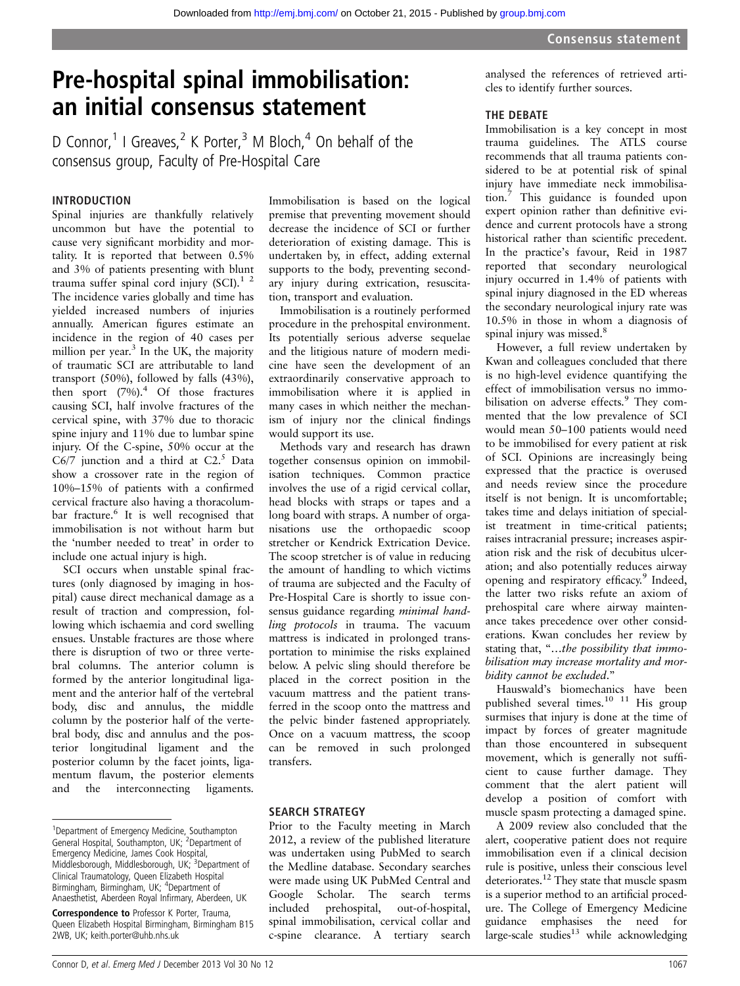# Pre-hospital spinal immobilisation: an initial consensus statement

D Connor,<sup>1</sup> I Greaves,<sup>2</sup> K Porter,<sup>3</sup> M Bloch,<sup>4</sup> On behalf of the consensus group, Faculty of Pre-Hospital Care

#### INTRODUCTION

Spinal injuries are thankfully relatively uncommon but have the potential to cause very significant morbidity and mortality. It is reported that between 0.5% and 3% of patients presenting with blunt trauma suffer spinal cord injury  $(SCI).$ <sup>1</sup> The incidence varies globally and time has yielded increased numbers of injuries annually. American figures estimate an incidence in the region of 40 cases per million per year. $3$  In the UK, the majority of traumatic SCI are attributable to land transport (50%), followed by falls (43%), then sport  $(7%)$ .<sup>4</sup> Of those fractures causing SCI, half involve fractures of the cervical spine, with 37% due to thoracic spine injury and 11% due to lumbar spine injury. Of the C-spine, 50% occur at the C6/7 junction and a third at  $C2<sup>5</sup>$  Data show a crossover rate in the region of 10%–15% of patients with a confirmed cervical fracture also having a thoracolumbar fracture.<sup>6</sup> It is well recognised that immobilisation is not without harm but the 'number needed to treat' in order to include one actual injury is high.

SCI occurs when unstable spinal fractures (only diagnosed by imaging in hospital) cause direct mechanical damage as a result of traction and compression, following which ischaemia and cord swelling ensues. Unstable fractures are those where there is disruption of two or three vertebral columns. The anterior column is formed by the anterior longitudinal ligament and the anterior half of the vertebral body, disc and annulus, the middle column by the posterior half of the vertebral body, disc and annulus and the posterior longitudinal ligament and the posterior column by the facet joints, ligamentum flavum, the posterior elements and the interconnecting ligaments.

Correspondence to Professor K Porter, Trauma, Queen Elizabeth Hospital Birmingham, Birmingham B15 2WB, UK; keith.porter@uhb.nhs.uk

Immobilisation is based on the logical premise that preventing movement should decrease the incidence of SCI or further deterioration of existing damage. This is undertaken by, in effect, adding external supports to the body, preventing secondary injury during extrication, resuscitation, transport and evaluation.

Immobilisation is a routinely performed procedure in the prehospital environment. Its potentially serious adverse sequelae and the litigious nature of modern medicine have seen the development of an extraordinarily conservative approach to immobilisation where it is applied in many cases in which neither the mechanism of injury nor the clinical findings would support its use.

Methods vary and research has drawn together consensus opinion on immobilisation techniques. Common practice involves the use of a rigid cervical collar, head blocks with straps or tapes and a long board with straps. A number of organisations use the orthopaedic scoop stretcher or Kendrick Extrication Device. The scoop stretcher is of value in reducing the amount of handling to which victims of trauma are subjected and the Faculty of Pre-Hospital Care is shortly to issue consensus guidance regarding minimal handling protocols in trauma. The vacuum mattress is indicated in prolonged transportation to minimise the risks explained below. A pelvic sling should therefore be placed in the correct position in the vacuum mattress and the patient transferred in the scoop onto the mattress and the pelvic binder fastened appropriately. Once on a vacuum mattress, the scoop can be removed in such prolonged transfers.

### SEARCH STRATEGY

Prior to the Faculty meeting in March 2012, a review of the published literature was undertaken using PubMed to search the Medline database. Secondary searches were made using UK PubMed Central and Google Scholar. The search terms included prehospital, out-of-hospital, spinal immobilisation, cervical collar and c-spine clearance. A tertiary search analysed the references of retrieved articles to identify further sources.

#### THE DEBATE

Immobilisation is a key concept in most trauma guidelines. The ATLS course recommends that all trauma patients considered to be at potential risk of spinal injury have immediate neck immobilisation.7 This guidance is founded upon expert opinion rather than definitive evidence and current protocols have a strong historical rather than scientific precedent. In the practice's favour, Reid in 1987 reported that secondary neurological injury occurred in 1.4% of patients with spinal injury diagnosed in the ED whereas the secondary neurological injury rate was 10.5% in those in whom a diagnosis of spinal injury was missed.<sup>8</sup>

However, a full review undertaken by Kwan and colleagues concluded that there is no high-level evidence quantifying the effect of immobilisation versus no immobilisation on adverse effects.<sup>9</sup> They commented that the low prevalence of SCI would mean 50–100 patients would need to be immobilised for every patient at risk of SCI. Opinions are increasingly being expressed that the practice is overused and needs review since the procedure itself is not benign. It is uncomfortable; takes time and delays initiation of specialist treatment in time-critical patients; raises intracranial pressure; increases aspiration risk and the risk of decubitus ulceration; and also potentially reduces airway opening and respiratory efficacy.<sup>9</sup> Indeed, the latter two risks refute an axiom of prehospital care where airway maintenance takes precedence over other considerations. Kwan concludes her review by stating that, "…the possibility that immobilisation may increase mortality and morbidity cannot be excluded."

Hauswald's biomechanics have been published several times.<sup>10 11</sup> His group surmises that injury is done at the time of impact by forces of greater magnitude than those encountered in subsequent movement, which is generally not sufficient to cause further damage. They comment that the alert patient will develop a position of comfort with muscle spasm protecting a damaged spine.

A 2009 review also concluded that the alert, cooperative patient does not require immobilisation even if a clinical decision rule is positive, unless their conscious level deteriorates.<sup>12</sup> They state that muscle spasm is a superior method to an artificial procedure. The College of Emergency Medicine guidance emphasises the need for large-scale studies $13$  while acknowledging

<sup>1</sup> Department of Emergency Medicine, Southampton General Hospital, Southampton, UK; <sup>2</sup>Department of Emergency Medicine, James Cook Hospital, Middlesborough, Middlesborough, UK; <sup>3</sup>Department of Clinical Traumatology, Queen Elizabeth Hospital Birmingham, Birmingham, UK; <sup>4</sup>Department of Anaesthetist, Aberdeen Royal Infirmary, Aberdeen, UK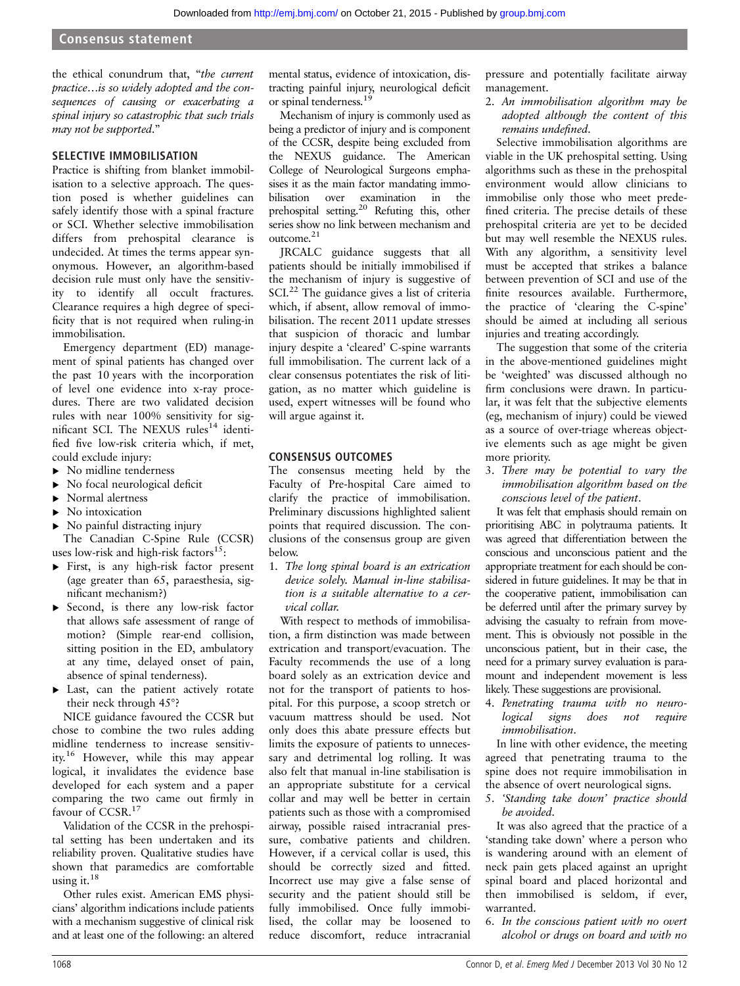#### Consensus statement

the ethical conundrum that, "the current practice…is so widely adopted and the consequences of causing or exacerbating a spinal injury so catastrophic that such trials may not be supported."

#### SELECTIVE IMMOBILISATION

Practice is shifting from blanket immobilisation to a selective approach. The question posed is whether guidelines can safely identify those with a spinal fracture or SCI. Whether selective immobilisation differs from prehospital clearance is undecided. At times the terms appear synonymous. However, an algorithm-based decision rule must only have the sensitivity to identify all occult fractures. Clearance requires a high degree of specificity that is not required when ruling-in immobilisation.

Emergency department (ED) management of spinal patients has changed over the past 10 years with the incorporation of level one evidence into x-ray procedures. There are two validated decision rules with near 100% sensitivity for significant SCI. The NEXUS rules<sup>14</sup> identified five low-risk criteria which, if met, could exclude injury:

- ▶ No midline tenderness
- $\triangleright$  No focal neurological deficit
- ▸ Normal alertness
- No intoxication
- ▸ No painful distracting injury

The Canadian C-Spine Rule (CCSR) uses low-risk and high-risk factors<sup>15</sup>:

- ▸ First, is any high-risk factor present (age greater than 65, paraesthesia, significant mechanism?)
- ▸ Second, is there any low-risk factor that allows safe assessment of range of motion? (Simple rear-end collision, sitting position in the ED, ambulatory at any time, delayed onset of pain, absence of spinal tenderness).
- ▸ Last, can the patient actively rotate their neck through 45°?

NICE guidance favoured the CCSR but chose to combine the two rules adding midline tenderness to increase sensitivity.<sup>16</sup> However, while this may appear logical, it invalidates the evidence base developed for each system and a paper comparing the two came out firmly in favour of CCSR.<sup>17</sup>

Validation of the CCSR in the prehospital setting has been undertaken and its reliability proven. Qualitative studies have shown that paramedics are comfortable using it. $18$ 

Other rules exist. American EMS physicians' algorithm indications include patients with a mechanism suggestive of clinical risk and at least one of the following: an altered

mental status, evidence of intoxication, distracting painful injury, neurological deficit or spinal tenderness.<sup>1</sup>

Mechanism of injury is commonly used as being a predictor of injury and is component of the CCSR, despite being excluded from the NEXUS guidance. The American College of Neurological Surgeons emphasises it as the main factor mandating immobilisation over examination in the prehospital setting.<sup>20</sup> Refuting this, other series show no link between mechanism and outcome.21

JRCALC guidance suggests that all patients should be initially immobilised if the mechanism of injury is suggestive of SCI.22 The guidance gives a list of criteria which, if absent, allow removal of immobilisation. The recent 2011 update stresses that suspicion of thoracic and lumbar injury despite a 'cleared' C-spine warrants full immobilisation. The current lack of a clear consensus potentiates the risk of litigation, as no matter which guideline is used, expert witnesses will be found who will argue against it.

#### CONSENSUS OUTCOMES

The consensus meeting held by the Faculty of Pre-hospital Care aimed to clarify the practice of immobilisation. Preliminary discussions highlighted salient points that required discussion. The conclusions of the consensus group are given below.

1. The long spinal board is an extrication device solely. Manual in-line stabilisation is a suitable alternative to a cervical collar.

With respect to methods of immobilisation, a firm distinction was made between extrication and transport/evacuation. The Faculty recommends the use of a long board solely as an extrication device and not for the transport of patients to hospital. For this purpose, a scoop stretch or vacuum mattress should be used. Not only does this abate pressure effects but limits the exposure of patients to unnecessary and detrimental log rolling. It was also felt that manual in-line stabilisation is an appropriate substitute for a cervical collar and may well be better in certain patients such as those with a compromised airway, possible raised intracranial pressure, combative patients and children. However, if a cervical collar is used, this should be correctly sized and fitted. Incorrect use may give a false sense of security and the patient should still be fully immobilised. Once fully immobilised, the collar may be loosened to reduce discomfort, reduce intracranial

pressure and potentially facilitate airway management.

2. An immobilisation algorithm may be adopted although the content of this remains undefined.

Selective immobilisation algorithms are viable in the UK prehospital setting. Using algorithms such as these in the prehospital environment would allow clinicians to immobilise only those who meet predefined criteria. The precise details of these prehospital criteria are yet to be decided but may well resemble the NEXUS rules. With any algorithm, a sensitivity level must be accepted that strikes a balance between prevention of SCI and use of the finite resources available. Furthermore, the practice of 'clearing the C-spine' should be aimed at including all serious injuries and treating accordingly.

The suggestion that some of the criteria in the above-mentioned guidelines might be 'weighted' was discussed although no firm conclusions were drawn. In particular, it was felt that the subjective elements (eg, mechanism of injury) could be viewed as a source of over-triage whereas objective elements such as age might be given more priority.

3. There may be potential to vary the immobilisation algorithm based on the conscious level of the patient.

It was felt that emphasis should remain on prioritising ABC in polytrauma patients. It was agreed that differentiation between the conscious and unconscious patient and the appropriate treatment for each should be considered in future guidelines. It may be that in the cooperative patient, immobilisation can be deferred until after the primary survey by advising the casualty to refrain from movement. This is obviously not possible in the unconscious patient, but in their case, the need for a primary survey evaluation is paramount and independent movement is less likely. These suggestions are provisional.

4. Penetrating trauma with no neurological signs does not require immobilisation.

In line with other evidence, the meeting agreed that penetrating trauma to the spine does not require immobilisation in the absence of overt neurological signs.

5. 'Standing take down' practice should be avoided.

It was also agreed that the practice of a 'standing take down' where a person who is wandering around with an element of neck pain gets placed against an upright spinal board and placed horizontal and then immobilised is seldom, if ever, warranted.

6. In the conscious patient with no overt alcohol or drugs on board and with no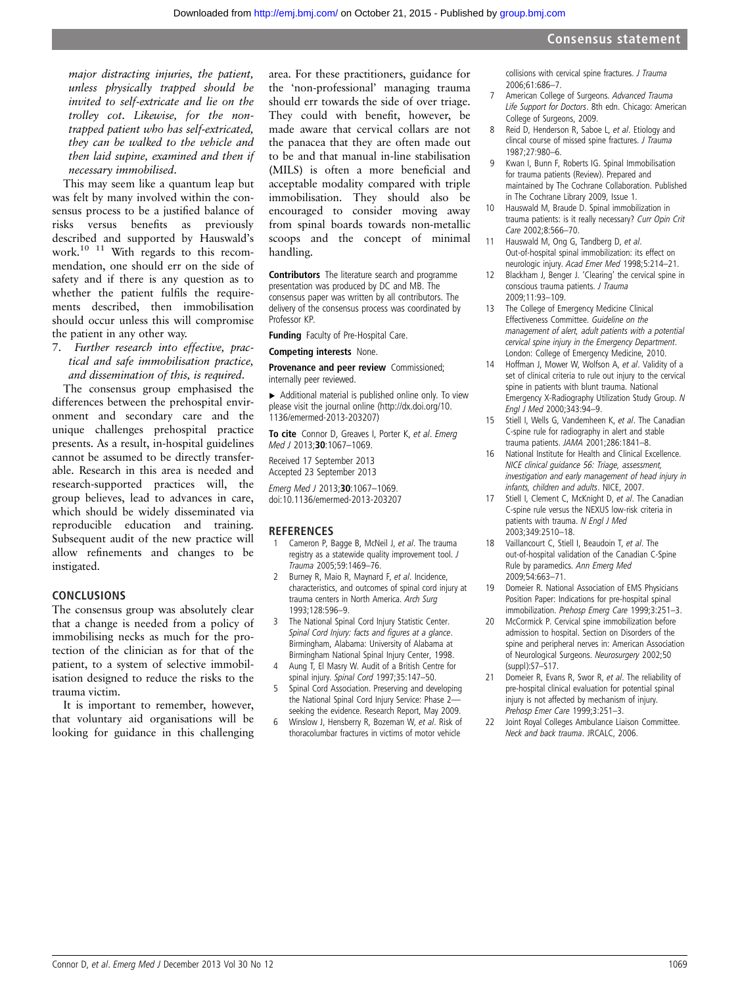major distracting injuries, the patient, unless physically trapped should be invited to self-extricate and lie on the trolley cot. Likewise, for the nontrapped patient who has self-extricated, they can be walked to the vehicle and then laid supine, examined and then if necessary immobilised.

This may seem like a quantum leap but was felt by many involved within the consensus process to be a justified balance of risks versus benefits as previously described and supported by Hauswald's work.10 11 With regards to this recommendation, one should err on the side of safety and if there is any question as to whether the patient fulfils the requirements described, then immobilisation should occur unless this will compromise the patient in any other way.

7. Further research into effective, practical and safe immobilisation practice, and dissemination of this, is required.

The consensus group emphasised the differences between the prehospital environment and secondary care and the unique challenges prehospital practice presents. As a result, in-hospital guidelines cannot be assumed to be directly transferable. Research in this area is needed and research-supported practices will, the group believes, lead to advances in care, which should be widely disseminated via reproducible education and training. Subsequent audit of the new practice will allow refinements and changes to be instigated.

#### CONCLUSIONS

The consensus group was absolutely clear that a change is needed from a policy of immobilising necks as much for the protection of the clinician as for that of the patient, to a system of selective immobilisation designed to reduce the risks to the trauma victim.

It is important to remember, however, that voluntary aid organisations will be looking for guidance in this challenging area. For these practitioners, guidance for the 'non-professional' managing trauma should err towards the side of over triage. They could with benefit, however, be made aware that cervical collars are not the panacea that they are often made out to be and that manual in-line stabilisation (MILS) is often a more beneficial and acceptable modality compared with triple immobilisation. They should also be encouraged to consider moving away from spinal boards towards non-metallic scoops and the concept of minimal handling.

Contributors The literature search and programme presentation was produced by DC and MB. The consensus paper was written by all contributors. The delivery of the consensus process was coordinated by Professor KP.

Funding Faculty of Pre-Hospital Care.

#### Competing interests None.

Provenance and peer review Commissioned; internally peer reviewed.

► Additional material is published online only. To view please visit the journal online [\(http://dx.doi.org/10.](http://dx.doi.org/10.1136/emermed-2013-203207) [1136/emermed-2013-203207](http://dx.doi.org/10.1136/emermed-2013-203207))

To cite Connor D, Greaves I, Porter K, et al. Emerg Med J 2013;30:1067-1069.

Received 17 September 2013 Accepted 23 September 2013

Emerg Med J 2013;30:1067–1069. doi:10.1136/emermed-2013-203207

#### REFERENCES

- 1 Cameron P, Bagge B, McNeil J, et al. The trauma registry as a statewide quality improvement tool. J Trauma 2005;59:1469–76.
- 2 Burney R, Maio R, Maynard F, et al. Incidence, characteristics, and outcomes of spinal cord injury at trauma centers in North America. Arch Surg 1993;128:596–9.
- 3 The National Spinal Cord Injury Statistic Center. Spinal Cord Injury: facts and figures at a glance. Birmingham, Alabama: University of Alabama at Birmingham National Spinal Injury Center, 1998.
- 4 Aung T, El Masry W. Audit of a British Centre for spinal injury. Spinal Cord 1997;35:147-50.
- 5 Spinal Cord Association. Preserving and developing the National Spinal Cord Injury Service: Phase 2 seeking the evidence. Research Report, May 2009.
- 6 Winslow J, Hensberry R, Bozeman W, et al. Risk of thoracolumbar fractures in victims of motor vehicle

collisions with cervical spine fractures. J Trauma 2006;61:686–7.

- 7 American College of Surgeons. Advanced Trauma Life Support for Doctors. 8th edn. Chicago: American College of Surgeons, 2009.
- 8 Reid D, Henderson R, Saboe L, et al. Etiology and clincal course of missed spine fractures. J Trauma 1987;27:980–6.
- 9 Kwan I, Bunn F, Roberts IG. Spinal Immobilisation for trauma patients (Review). Prepared and maintained by The Cochrane Collaboration. Published in The Cochrane Library 2009, Issue 1.
- 10 Hauswald M, Braude D. Spinal immobilization in trauma patients: is it really necessary? Curr Opin Crit Care 2002;8:566–70.
- 11 Hauswald M, Ong G, Tandberg D, et al. Out-of-hospital spinal immobilization: its effect on neurologic injury. Acad Emer Med 1998;5:214–21.
- 12 Blackham J, Benger J. 'Clearing' the cervical spine in conscious trauma patients. J Trauma 2009;11:93–109.
- 13 The College of Emergency Medicine Clinical Effectiveness Committee. Guideline on the management of alert, adult patients with a potential cervical spine injury in the Emergency Department. London: College of Emergency Medicine, 2010.
- 14 Hoffman J, Mower W, Wolfson A, et al. Validity of a set of clinical criteria to rule out injury to the cervical spine in patients with blunt trauma. National Emergency X-Radiography Utilization Study Group. N Engl J Med 2000;343:94–9.
- 15 Stiell I, Wells G, Vandemheen K, et al. The Canadian C-spine rule for radiography in alert and stable trauma patients. JAMA 2001;286:1841–8.
- National Institute for Health and Clinical Excellence. NICE clinical guidance 56: Triage, assessment, investigation and early management of head injury in infants, children and adults. NICE, 2007.
- 17 Stiell I, Clement C, McKnight D, et al. The Canadian C-spine rule versus the NEXUS low-risk criteria in patients with trauma. N Engl J Med 2003;349:2510–18.
- 18 Vaillancourt C, Stiell I, Beaudoin T, et al. The out-of-hospital validation of the Canadian C-Spine Rule by paramedics. Ann Emerg Med 2009;54:663–71.
- 19 Domeier R. National Association of EMS Physicians Position Paper: Indications for pre-hospital spinal immobilization. Prehosp Emerg Care 1999;3:251–3.
- 20 McCormick P. Cervical spine immobilization before admission to hospital. Section on Disorders of the spine and peripheral nerves in: American Association of Neurological Surgeons. Neurosurgery 2002;50 (suppl):S7–S17.
- 21 Domeier R, Evans R, Swor R, et al. The reliability of pre-hospital clinical evaluation for potential spinal injury is not affected by mechanism of injury. Prehosp Emer Care 1999;3:251–3.
- 22 Joint Royal Colleges Ambulance Liaison Committee. Neck and back trauma. JRCALC, 2006.